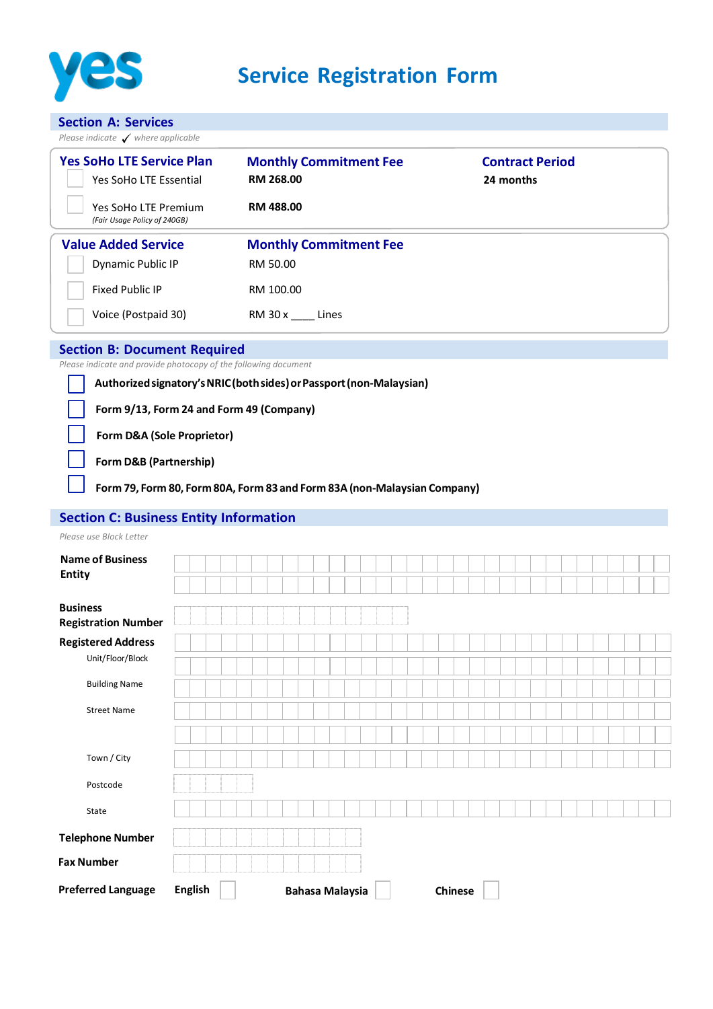

**Section A: Services**

| Please indicate $\checkmark$ where applicable                        |                                                   |                                     |  |  |  |  |  |
|----------------------------------------------------------------------|---------------------------------------------------|-------------------------------------|--|--|--|--|--|
| <b>Yes SoHo LTE Service Plan</b><br>Yes SoHo LTE Essential           | <b>Monthly Commitment Fee</b><br><b>RM 268.00</b> | <b>Contract Period</b><br>24 months |  |  |  |  |  |
| Yes SoHo LTE Premium<br>(Fair Usage Policy of 240GB)                 | <b>RM 488.00</b>                                  |                                     |  |  |  |  |  |
| <b>Value Added Service</b>                                           | <b>Monthly Commitment Fee</b>                     |                                     |  |  |  |  |  |
| Dynamic Public IP                                                    | RM 50.00                                          |                                     |  |  |  |  |  |
| <b>Fixed Public IP</b>                                               | RM 100.00                                         |                                     |  |  |  |  |  |
| Voice (Postpaid 30)                                                  | RM 30 x<br>Lines                                  |                                     |  |  |  |  |  |
| <b>Section B: Document Required</b>                                  |                                                   |                                     |  |  |  |  |  |
| Please indicate and provide photocopy of the following document      |                                                   |                                     |  |  |  |  |  |
| Authorized signatory's NRIC (both sides) or Passport (non-Malaysian) |                                                   |                                     |  |  |  |  |  |

**Form 9/13, Form 24 and Form 49 (Company)**

**Form D&A (Sole Proprietor)**

**Form D&B (Partnership)**

**Form 79, Form 80, Form 80A, Form 83 and Form 83A (non-Malaysian Company)**

## **Section C: Business Entity Information**

| <b>Name of Business</b><br><b>Entity</b>      |                |                        |  |                |  |  |  |  |
|-----------------------------------------------|----------------|------------------------|--|----------------|--|--|--|--|
|                                               |                |                        |  |                |  |  |  |  |
| <b>Business</b><br><b>Registration Number</b> |                |                        |  |                |  |  |  |  |
| <b>Registered Address</b>                     |                |                        |  |                |  |  |  |  |
| Unit/Floor/Block                              |                |                        |  |                |  |  |  |  |
| <b>Building Name</b>                          |                |                        |  |                |  |  |  |  |
| <b>Street Name</b>                            |                |                        |  |                |  |  |  |  |
|                                               |                |                        |  |                |  |  |  |  |
| Town / City                                   |                |                        |  |                |  |  |  |  |
| Postcode                                      |                |                        |  |                |  |  |  |  |
| State                                         |                |                        |  |                |  |  |  |  |
| <b>Telephone Number</b>                       |                |                        |  |                |  |  |  |  |
| <b>Fax Number</b>                             |                |                        |  |                |  |  |  |  |
| <b>Preferred Language</b>                     | <b>English</b> | <b>Bahasa Malaysia</b> |  | <b>Chinese</b> |  |  |  |  |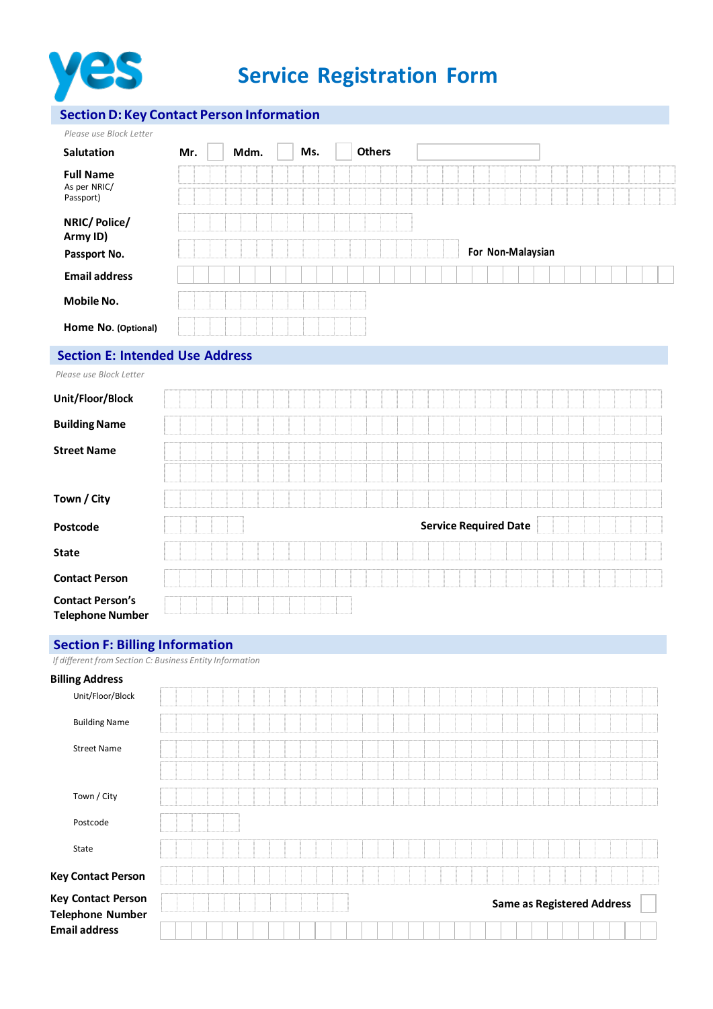

# **Service Registration Form**

## **SectionD: Key Contact Person Information**

| Please use Block Letter   |     |      |     |               |                   |  |
|---------------------------|-----|------|-----|---------------|-------------------|--|
| <b>Salutation</b>         | Mr. | Mdm. | Ms. | <b>Others</b> |                   |  |
| <b>Full Name</b>          |     |      |     |               |                   |  |
| As per NRIC/<br>Passport) |     |      |     |               |                   |  |
| NRIC/Police/              |     |      |     |               |                   |  |
| Army ID)                  |     |      |     |               |                   |  |
| Passport No.              |     |      |     |               | For Non-Malaysian |  |
| <b>Email address</b>      |     |      |     |               |                   |  |
| <b>Mobile No.</b>         |     |      |     |               |                   |  |
| Home No. (Optional)       |     |      |     |               |                   |  |

## **Section E: Intended Use Address**

|  | Please use Block Letter |  |
|--|-------------------------|--|
|--|-------------------------|--|

| Unit/Floor/Block                                   |                              |
|----------------------------------------------------|------------------------------|
| <b>Building Name</b>                               |                              |
| <b>Street Name</b>                                 |                              |
|                                                    |                              |
| Town / City                                        |                              |
| Postcode                                           | <b>Service Required Date</b> |
| <b>State</b>                                       |                              |
| <b>Contact Person</b>                              |                              |
| <b>Contact Person's</b><br><b>Telephone Number</b> |                              |

## **Section F: Billing Information**

*If different from Section C: Business Entity Information*

| <b>Billing Address</b>                               |  |  |  |  |  |  |  |  |  |  |  |  |  |  |                                   |  |  |
|------------------------------------------------------|--|--|--|--|--|--|--|--|--|--|--|--|--|--|-----------------------------------|--|--|
| Unit/Floor/Block                                     |  |  |  |  |  |  |  |  |  |  |  |  |  |  |                                   |  |  |
| <b>Building Name</b>                                 |  |  |  |  |  |  |  |  |  |  |  |  |  |  |                                   |  |  |
| <b>Street Name</b>                                   |  |  |  |  |  |  |  |  |  |  |  |  |  |  |                                   |  |  |
|                                                      |  |  |  |  |  |  |  |  |  |  |  |  |  |  |                                   |  |  |
| Town / City                                          |  |  |  |  |  |  |  |  |  |  |  |  |  |  |                                   |  |  |
| Postcode                                             |  |  |  |  |  |  |  |  |  |  |  |  |  |  |                                   |  |  |
| State                                                |  |  |  |  |  |  |  |  |  |  |  |  |  |  |                                   |  |  |
| <b>Key Contact Person</b>                            |  |  |  |  |  |  |  |  |  |  |  |  |  |  |                                   |  |  |
| <b>Key Contact Person</b><br><b>Telephone Number</b> |  |  |  |  |  |  |  |  |  |  |  |  |  |  | <b>Same as Registered Address</b> |  |  |
| <b>Email address</b>                                 |  |  |  |  |  |  |  |  |  |  |  |  |  |  |                                   |  |  |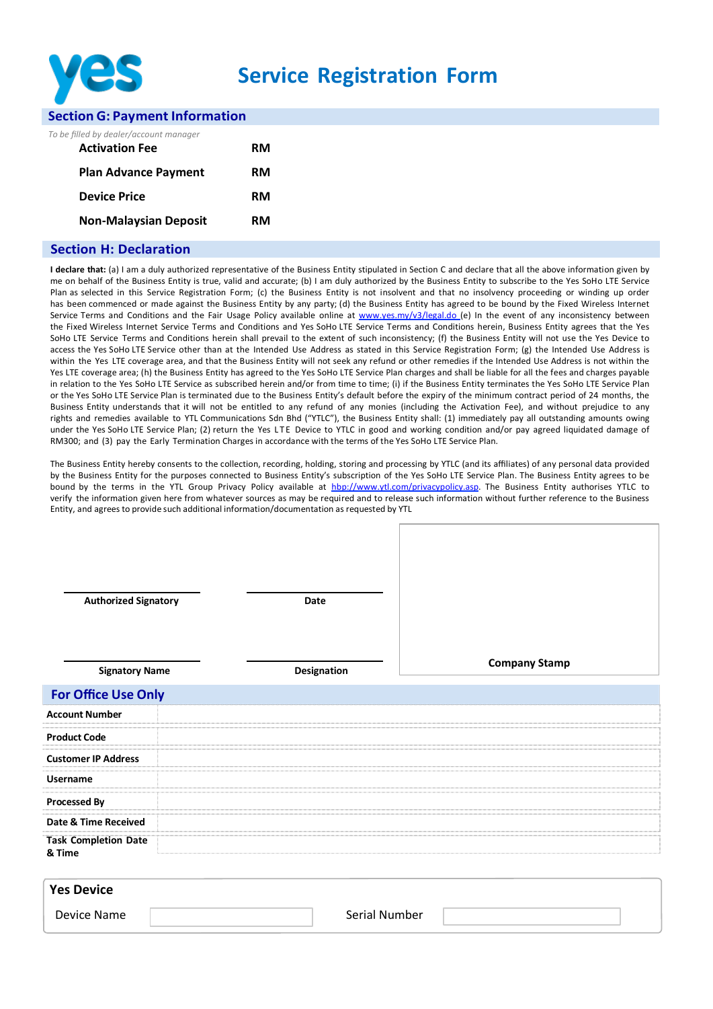

## **Service Registration Form**

#### **Section G: Payment Information**

|  |  |  |  |  | To be filled by dealer/account manager |
|--|--|--|--|--|----------------------------------------|
|--|--|--|--|--|----------------------------------------|

| <b>Activation Fee</b>        | RM |
|------------------------------|----|
| <b>Plan Advance Payment</b>  | RM |
| <b>Device Price</b>          | RM |
| <b>Non-Malaysian Deposit</b> | RM |

#### **Section H: Declaration**

**I declare that:** (a) I am a duly authorized representative of the Business Entity stipulated in Section C and declare that all the above information given by me on behalf of the Business Entity is true, valid and accurate; (b) I am duly authorized by the Business Entity to subscribe to the Yes SoHo LTE Service Plan as selected in this Service Registration Form; (c) the Business Entity is not insolvent and that no insolvency proceeding or winding up order has been commenced or made against the Business Entity by any party; (d) the Business Entity has agreed to be bound by the Fixed Wireless Internet Service Terms and Conditions and the Fair Usage Policy available online at [www.yes.my/v3/legal.do](http://www.yes.my/v3/legal.do) (e) In the event of any inconsistency between the Fixed Wireless Internet Service Terms and Conditions and Yes SoHo LTE Service Terms and Conditions herein, Business Entity agrees that the Yes SoHo LTE Service Terms and Conditions herein shall prevail to the extent of such inconsistency; (f) the Business Entity will not use the Yes Device to access the Yes SoHo LTE Service other than at the Intended Use Address as stated in this Service Registration Form; (g) the Intended Use Address is within the Yes LTE coverage area, and that the Business Entity will not seek any refund or other remedies if the Intended Use Address is not within the Yes LTE coverage area; (h) the Business Entity has agreed to the Yes SoHo LTE Service Plan charges and shall be liable for all the fees and charges payable in relation to the Yes SoHo LTE Service as subscribed herein and/or from time to time; (i) if the Business Entity terminates the Yes SoHo LTE Service Plan or the Yes SoHo LTE Service Plan is terminated due to the Business Entity's default before the expiry of the minimum contract period of 24 months, the Business Entity understands that it will not be entitled to any refund of any monies (including the Activation Fee), and without prejudice to any rights and remedies available to YTL Communications Sdn Bhd ("YTLC"), the Business Entity shall: (1) immediately pay all outstanding amounts owing under the Yes SoHo LTE Service Plan; (2) return the Yes LTE Device to YTLC in good and working condition and/or pay agreed liquidated damage of RM300; and (3) pay the Early Termination Charges in accordance with the terms of the Yes SoHo LTE Service Plan.

The Business Entity hereby consents to the collection, recording, holding, storing and processing by YTLC (and its affiliates) of any personal data provided by the Business Entity for the purposes connected to Business Entity's subscription of the Yes SoHo LTE Service Plan. The Business Entity agrees to be bound by the terms in the YTL Group Privacy Policy available at hbp:/[/www.ytl.com/privacypolicy.asp.](http://www.ytl.com/privacypolicy.asp) The Business Entity authorises YTLC to verify the information given here from whatever sources as may be required and to release such information without further reference to the Business Entity, and agrees to provide such additional information/documentation as requested by YTL

| <b>Authorized Signatory</b>           | Date        |                      |
|---------------------------------------|-------------|----------------------|
| <b>Signatory Name</b>                 | Designation | <b>Company Stamp</b> |
| <b>For Office Use Only</b>            |             |                      |
| <b>Account Number</b>                 |             |                      |
| <b>Product Code</b>                   |             |                      |
| <b>Customer IP Address</b>            |             |                      |
| <b>Username</b>                       |             |                      |
| <b>Processed By</b>                   |             |                      |
| Date & Time Received                  |             |                      |
| <b>Task Completion Date</b><br>& Time |             |                      |
| <b>Yes Device</b>                     |             |                      |

Device Name and The Serial Number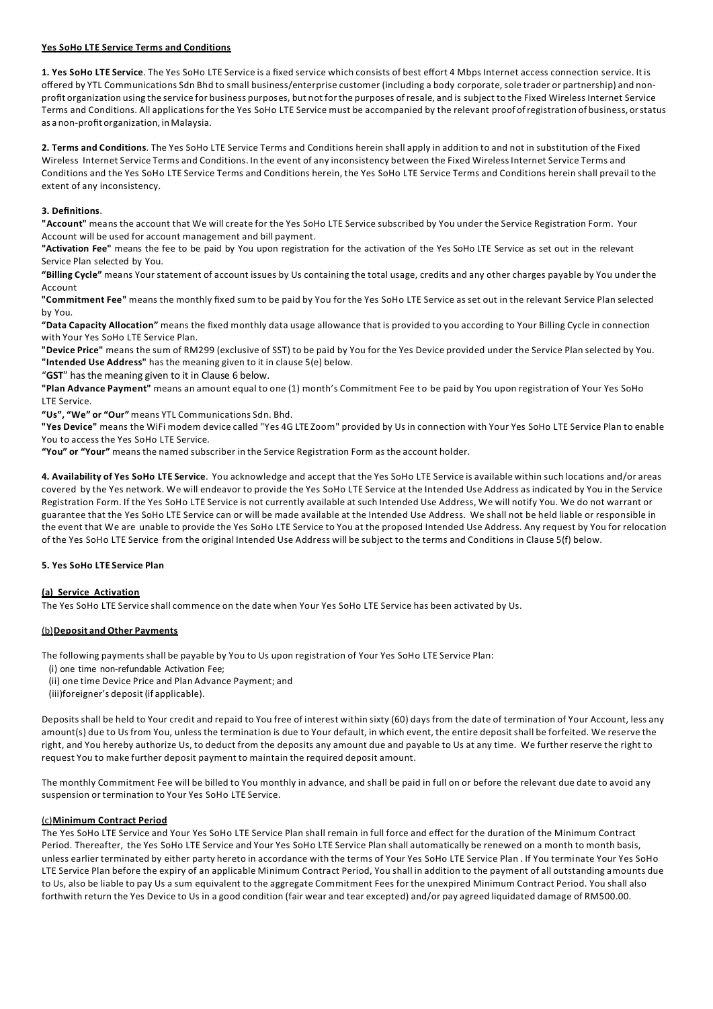#### **Yes SoHo LTE Service Terms and Conditions**

**1. Yes SoHo LTE Service**. The Yes SoHo LTE Service is a fixed service which consists of best effort 4 Mbps Internet access connection service. It is offered by YTL Communications Sdn Bhd to small business/enterprise customer (including a body corporate, sole trader or partnership) and nonprofit organization using the service for business purposes, but not forthe purposes of resale, and is subject to the Fixed Wireless Internet Service Terms and Conditions. All applications for the Yes SoHo LTE Service must be accompanied by the relevant proof ofregistration of business, orstatus as a non‐profit organization, inMalaysia.

**2. Terms and Conditions**. The Yes SoHo LTE Service Terms and Conditions herein shall apply in addition to and not in substitution of the Fixed Wireless Internet Service Terms and Conditions. In the event of any inconsistency between the Fixed Wireless Internet Service Terms and Conditions and the Yes SoHo LTE Service Terms and Conditions herein, the Yes SoHo LTE Service Terms and Conditions herein shall prevail to the extent of any inconsistency.

#### **3. Definitions**.

**"Account"** means the account that We will create for the Yes SoHo LTE Service subscribed by You under the Service Registration Form. Your Account will be used for account management and bill payment.

**"Activation Fee"** means the fee to be paid by You upon registration for the activation of the Yes SoHo LTE Service as set out in the relevant Service Plan selected by You.

**"Billing Cycle"** means Your statement of account issues by Us containing the total usage, credits and any other charges payable by You under the Account

**"Commitment Fee"** means the monthly fixed sum to be paid by You for the Yes SoHo LTE Service as set out in the relevant Service Plan selected by You.

**"Data Capacity Allocation"** means the fixed monthly data usage allowance that is provided to you according to Your Billing Cycle in connection with Your Yes SoHo LTE Service Plan.

**"Device Price"** means the sum of RM299 (exclusive of SST) to be paid by You for the Yes Device provided under the Service Plan selected by You. **"Intended Use Address"** has the meaning given to it in clause 5(e) below.

"**GST**" has the meaning given to it in Clause 6 below.

**"Plan Advance Payment"** means an amount equal to one (1) month's Commitment Fee t o be paid by You upon registration of Your Yes SoHo LTE Service.

**"Us", "We" or "Our"** means YTL Communications Sdn. Bhd.

**"Yes Device"** means the WiFi modem device called "Yes 4G LTE Zoom" provided by Us in connection with Your Yes SoHo LTE Service Plan to enable You to access the Yes SoHo LTE Service.

**"You" or "Your"** means the named subscriber in the Service Registration Form as the account holder.

**4. Availability of Yes SoHo LTE Service**. You acknowledge and accept that the Yes SoHo LTE Service is available within such locations and/or areas covered by the Yes network. We will endeavor to provide the Yes SoHo LTE Service at the Intended Use Address as indicated by You in the Service Registration Form. If the Yes SoHo LTE Service is not currently available at such Intended Use Address, We will notify You. We do not warrant or guarantee that the Yes SoHo LTE Service can or will be made available at the Intended Use Address. We shall not be held liable or responsible in the event that We are unable to provide the Yes SoHo LTE Service to You at the proposed Intended Use Address. Any request by You for relocation of the Yes SoHo LTE Service from the original Intended Use Address will be subject to the terms and Conditions in Clause 5(f) below.

#### **5. Yes SoHo LTE Service Plan**

#### **(a) Service Activation**

The Yes SoHo LTE Service shall commence on the date when Your Yes SoHo LTE Service has been activated by Us.

#### (b)**Deposit and Other Payments**

The following payments shall be payable by You to Us upon registration of Your Yes SoHo LTE Service Plan:

- (i) one time non-refundable Activation Fee;
- (ii) one time Device Price and Plan Advance Payment; and
- (iii)foreigner's deposit (if applicable).

Deposits shall be held to Your credit and repaid to You free of interest within sixty (60) days from the date of termination of Your Account, less any amount(s) due to Us from You, unless the termination is due to Your default, in which event, the entire deposit shall be forfeited. We reserve the right, and You hereby authorize Us, to deduct from the deposits any amount due and payable to Us at any time. We further reserve the right to request You to make further deposit payment to maintain the required deposit amount.

The monthly Commitment Fee will be billed to You monthly in advance, and shall be paid in full on or before the relevant due date to avoid any suspension or termination to Your Yes SoHo LTE Service.

#### (c)**Minimum Contract Period**

The Yes SoHo LTE Service and Your Yes SoHo LTE Service Plan shall remain in full force and effect for the duration of the Minimum Contract Period. Thereafter, the Yes SoHo LTE Service and Your Yes SoHo LTE Service Plan shall automatically be renewed on a month to month basis, unless earlier terminated by either party hereto in accordance with the terms of Your Yes SoHo LTE Service Plan . If You terminate Your Yes SoHo LTE Service Plan before the expiry of an applicable Minimum Contract Period, You shall in addition to the payment of all outstanding amounts due to Us, also be liable to pay Us a sum equivalent to the aggregate Commitment Fees for the unexpired Minimum Contract Period. You shall also forthwith return the Yes Device to Us in a good condition (fair wear and tear excepted) and/or pay agreed liquidated damage of RM500.00.